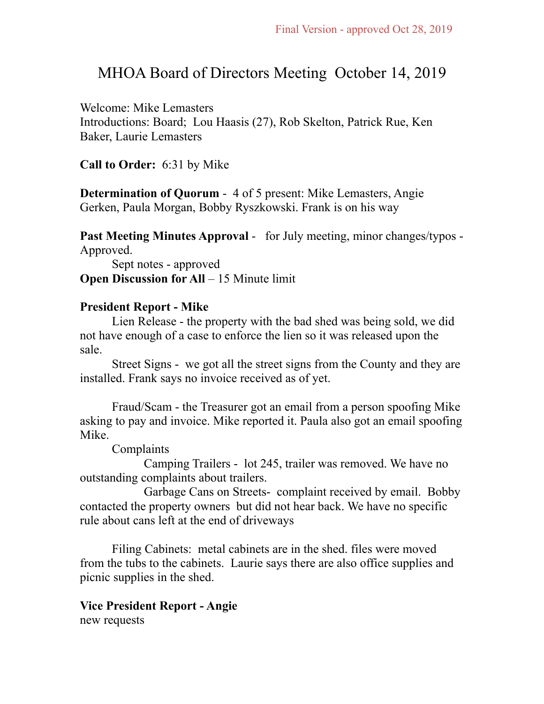# MHOA Board of Directors Meeting October 14, 2019

Welcome: Mike Lemasters Introductions: Board; Lou Haasis (27), Rob Skelton, Patrick Rue, Ken Baker, Laurie Lemasters

**Call to Order:** 6:31 by Mike

**Determination of Quorum** - 4 of 5 present: Mike Lemasters, Angie Gerken, Paula Morgan, Bobby Ryszkowski. Frank is on his way

**Past Meeting Minutes Approval** - for July meeting, minor changes/typos - Approved.

 Sept notes - approved **Open Discussion for All – 15 Minute limit** 

## **President Report - Mike**

 Lien Release - the property with the bad shed was being sold, we did not have enough of a case to enforce the lien so it was released upon the sale.

 Street Signs - we got all the street signs from the County and they are installed. Frank says no invoice received as of yet.

 Fraud/Scam - the Treasurer got an email from a person spoofing Mike asking to pay and invoice. Mike reported it. Paula also got an email spoofing Mike.

Complaints

 Camping Trailers - lot 245, trailer was removed. We have no outstanding complaints about trailers.

 Garbage Cans on Streets- complaint received by email. Bobby contacted the property owners but did not hear back. We have no specific rule about cans left at the end of driveways

 Filing Cabinets: metal cabinets are in the shed. files were moved from the tubs to the cabinets. Laurie says there are also office supplies and picnic supplies in the shed.

**Vice President Report - Angie**  new requests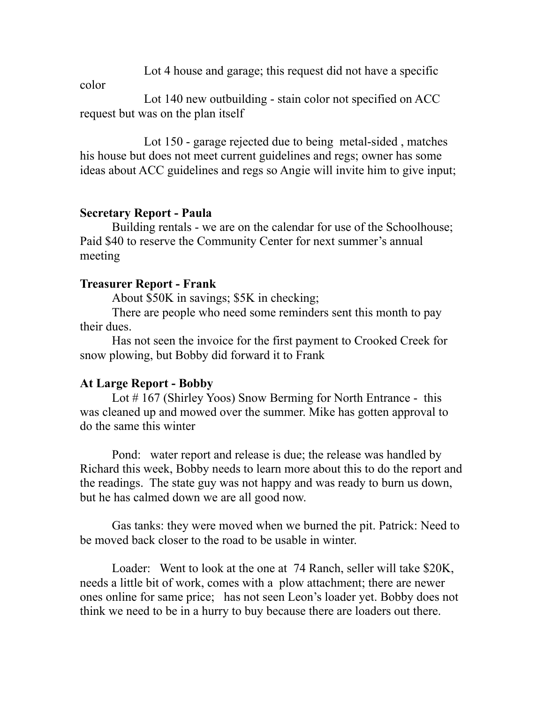Lot 4 house and garage; this request did not have a specific

color

 Lot 140 new outbuilding - stain color not specified on ACC request but was on the plan itself

 Lot 150 - garage rejected due to being metal-sided , matches his house but does not meet current guidelines and regs; owner has some ideas about ACC guidelines and regs so Angie will invite him to give input;

## **Secretary Report - Paula**

 Building rentals - we are on the calendar for use of the Schoolhouse; Paid \$40 to reserve the Community Center for next summer's annual meeting

#### **Treasurer Report - Frank**

About \$50K in savings; \$5K in checking;

 There are people who need some reminders sent this month to pay their dues.

 Has not seen the invoice for the first payment to Crooked Creek for snow plowing, but Bobby did forward it to Frank

## **At Large Report - Bobby**

Lot #167 (Shirley Yoos) Snow Berming for North Entrance - this was cleaned up and mowed over the summer. Mike has gotten approval to do the same this winter

 Pond: water report and release is due; the release was handled by Richard this week, Bobby needs to learn more about this to do the report and the readings. The state guy was not happy and was ready to burn us down, but he has calmed down we are all good now.

 Gas tanks: they were moved when we burned the pit. Patrick: Need to be moved back closer to the road to be usable in winter.

 Loader: Went to look at the one at 74 Ranch, seller will take \$20K, needs a little bit of work, comes with a plow attachment; there are newer ones online for same price; has not seen Leon's loader yet. Bobby does not think we need to be in a hurry to buy because there are loaders out there.